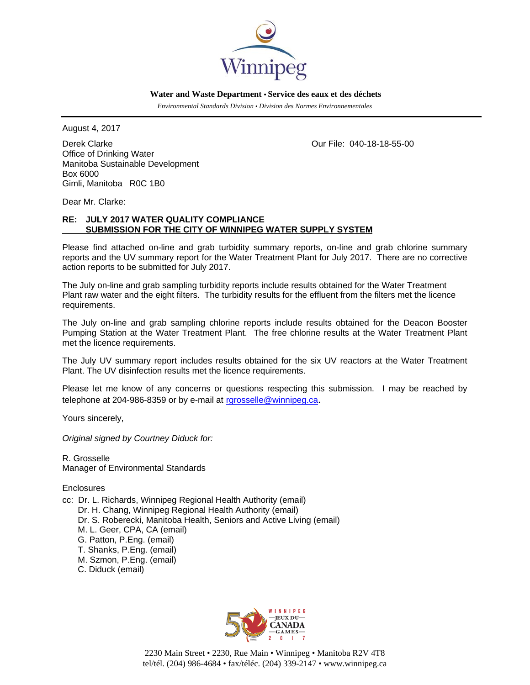

 **Water and Waste Department • Service des eaux et des déchets**

 *Environmental Standards Division • Division des Normes Environnementales* 

August 4, 2017

Derek Clarke Our File: 040-18-18-55-00 Office of Drinking Water Manitoba Sustainable Development Box 6000 Gimli, Manitoba R0C 1B0

Dear Mr. Clarke:

# **RE: JULY 2017 WATER QUALITY COMPLIANCE SUBMISSION FOR THE CITY OF WINNIPEG WATER SUPPLY SYSTEM**

Please find attached on-line and grab turbidity summary reports, on-line and grab chlorine summary reports and the UV summary report for the Water Treatment Plant for July 2017. There are no corrective action reports to be submitted for July 2017.

The July on-line and grab sampling turbidity reports include results obtained for the Water Treatment Plant raw water and the eight filters. The turbidity results for the effluent from the filters met the licence requirements.

The July on-line and grab sampling chlorine reports include results obtained for the Deacon Booster Pumping Station at the Water Treatment Plant. The free chlorine results at the Water Treatment Plant met the licence requirements.

The July UV summary report includes results obtained for the six UV reactors at the Water Treatment Plant. The UV disinfection results met the licence requirements.

Please let me know of any concerns or questions respecting this submission. I may be reached by telephone at 204-986-8359 or by e-mail at rgrosselle@winnipeg.ca.

Yours sincerely,

*Original signed by Courtney Diduck for:* 

R. Grosselle Manager of Environmental Standards

**Enclosures** 

cc: Dr. L. Richards, Winnipeg Regional Health Authority (email) Dr. H. Chang, Winnipeg Regional Health Authority (email) Dr. S. Roberecki, Manitoba Health, Seniors and Active Living (email) M. L. Geer, CPA, CA (email) G. Patton, P.Eng. (email) T. Shanks, P.Eng. (email) M. Szmon, P.Eng. (email) C. Diduck (email)



2230 Main Street • 2230, Rue Main • Winnipeg • Manitoba R2V 4T8 tel/tél. (204) 986-4684 • fax/téléc. (204) 339-2147 • www.winnipeg.ca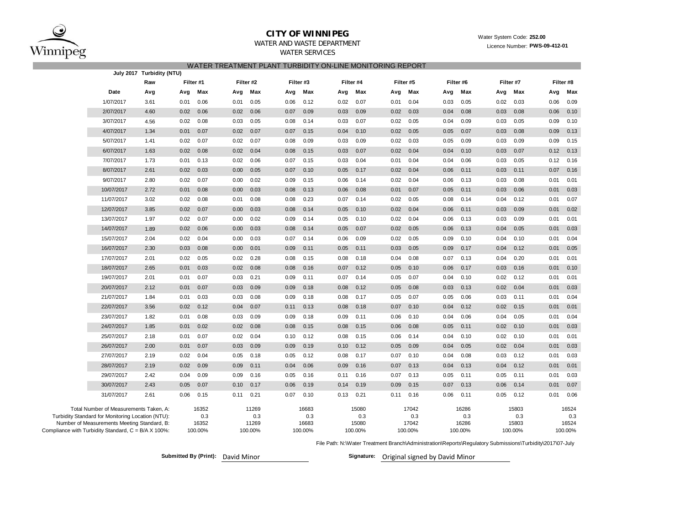

## **CITY OF WINNIPEG**WATER AND WASTE DEPARTMENT

# WATER SERVICES

| WATER TREATMENT PLANT TURBIDITY ON-LINE MONITORING REPORT<br>July 2017 Turbidity (NTU)                                                     |            |                                |         |                       |                       |           |           |                       |         |                       |      |                       |      |                       |                       |           |                       |           |
|--------------------------------------------------------------------------------------------------------------------------------------------|------------|--------------------------------|---------|-----------------------|-----------------------|-----------|-----------|-----------------------|---------|-----------------------|------|-----------------------|------|-----------------------|-----------------------|-----------|-----------------------|-----------|
|                                                                                                                                            |            | Raw                            |         |                       |                       | Filter #2 | Filter #3 |                       |         | Filter #4             |      | Filter #5             |      | Filter #6             |                       | Filter #7 |                       | Filter #8 |
|                                                                                                                                            | Date       | Filter #1<br>Max<br>Avg<br>Avg |         |                       | Max<br>Avg<br>Avg     |           | Max       | Avg                   | Max     | Avg                   | Max  | Avg                   | Max  | Avg                   | Max                   | Avg       | Max                   |           |
|                                                                                                                                            | 1/07/2017  | 3.61                           | 0.01    | 0.06                  | 0.01                  | 0.05      | 0.06      | 0.12                  | 0.02    | 0.07                  | 0.01 | 0.04                  | 0.03 | 0.05                  | 0.02                  | 0.03      | 0.06                  | 0.09      |
|                                                                                                                                            | 2/07/2017  | 4.60                           | 0.02    | 0.06                  | 0.02                  | 0.06      | 0.07      | 0.09                  | 0.03    | 0.09                  | 0.02 | 0.03                  | 0.04 | 0.08                  | 0.03                  | 0.08      | 0.06                  | 0.10      |
|                                                                                                                                            | 3/07/2017  | 4.56                           | 0.02    | 0.08                  | 0.03                  | 0.05      | 0.08      | 0.14                  | 0.03    | 0.07                  | 0.02 | 0.05                  | 0.04 | 0.09                  | 0.03                  | 0.05      | 0.09                  | 0.10      |
|                                                                                                                                            | 4/07/2017  | 1.34                           | 0.01    | 0.07                  | 0.02                  | 0.07      | 0.07      | 0.15                  | 0.04    | 0.10                  | 0.02 | 0.05                  | 0.05 | 0.07                  | 0.03                  | 0.08      | 0.09                  | 0.13      |
|                                                                                                                                            | 5/07/2017  | 1.41                           | 0.02    | 0.07                  | 0.02                  | 0.07      | 0.08      | 0.09                  | 0.03    | 0.09                  | 0.02 | 0.03                  | 0.05 | 0.09                  | 0.03                  | 0.09      | 0.09                  | 0.15      |
|                                                                                                                                            | 6/07/2017  | 1.63                           | 0.02    | 0.08                  | 0.02                  | 0.04      | 0.08      | 0.15                  | 0.03    | 0.07                  | 0.02 | 0.04                  | 0.04 | 0.10                  | 0.03                  | 0.07      | 0.12                  | 0.13      |
|                                                                                                                                            | 7/07/2017  | 1.73                           | 0.01    | 0.13                  | 0.02                  | 0.06      | 0.07      | 0.15                  | 0.03    | 0.04                  | 0.01 | 0.04                  | 0.04 | 0.06                  | 0.03                  | 0.05      | 0.12                  | 0.16      |
|                                                                                                                                            | 8/07/2017  | 2.61                           | 0.02    | 0.03                  | 0.00                  | 0.05      | 0.07      | 0.10                  | 0.05    | 0.17                  | 0.02 | 0.04                  | 0.06 | 0.11                  | 0.03                  | 0.11      | 0.07                  | 0.16      |
|                                                                                                                                            | 9/07/2017  | 2.80                           | 0.02    | 0.07                  | 0.00                  | 0.02      | 0.09      | 0.15                  | 0.06    | 0.14                  | 0.02 | 0.04                  | 0.06 | 0.13                  | 0.03                  | 0.08      | 0.01                  | 0.01      |
|                                                                                                                                            | 10/07/2017 | 2.72                           | 0.01    | 0.08                  | 0.00                  | 0.03      | 0.08      | 0.13                  | 0.06    | 0.08                  | 0.01 | 0.07                  | 0.05 | 0.11                  | 0.03                  | 0.06      | 0.01                  | 0.03      |
|                                                                                                                                            | 11/07/2017 | 3.02                           | 0.02    | 0.08                  | 0.01                  | 0.08      | 0.08      | 0.23                  | 0.07    | 0.14                  | 0.02 | 0.05                  | 0.08 | 0.14                  | 0.04                  | 0.12      | 0.01                  | 0.07      |
|                                                                                                                                            | 12/07/2017 | 3.85                           | 0.02    | 0.07                  | 0.00                  | 0.03      | 0.08      | 0.14                  | 0.05    | 0.10                  | 0.02 | 0.04                  | 0.06 | 0.11                  | 0.03                  | 0.09      | 0.01                  | 0.02      |
|                                                                                                                                            | 13/07/2017 | 1.97                           | 0.02    | 0.07                  | 0.00                  | 0.02      | 0.09      | 0.14                  | 0.05    | 0.10                  | 0.02 | 0.04                  | 0.06 | 0.13                  | 0.03                  | 0.09      | 0.01                  | 0.01      |
|                                                                                                                                            | 14/07/2017 | 1.89                           | 0.02    | 0.06                  | 0.00                  | 0.03      | 0.08      | 0.14                  | 0.05    | 0.07                  | 0.02 | 0.05                  | 0.06 | 0.13                  | 0.04                  | 0.05      | 0.01                  | 0.03      |
|                                                                                                                                            | 15/07/2017 | 2.04                           | 0.02    | 0.04                  | 0.00                  | 0.03      | 0.07      | 0.14                  | 0.06    | 0.09                  | 0.02 | 0.05                  | 0.09 | 0.10                  | 0.04                  | 0.10      | 0.01                  | 0.04      |
|                                                                                                                                            | 16/07/2017 | 2.30                           | 0.03    | 0.08                  | 0.00                  | 0.01      | 0.09      | 0.11                  | 0.05    | 0.11                  | 0.03 | 0.05                  | 0.09 | 0.17                  | 0.04                  | 0.12      | 0.01                  | 0.05      |
|                                                                                                                                            | 17/07/2017 | 2.01                           | 0.02    | 0.05                  | 0.02                  | 0.28      | 0.08      | 0.15                  | 0.08    | 0.18                  | 0.04 | 0.08                  | 0.07 | 0.13                  | 0.04                  | 0.20      | 0.01                  | 0.01      |
|                                                                                                                                            | 18/07/2017 | 2.65                           | 0.01    | 0.03                  | 0.02                  | 0.08      | 0.08      | 0.16                  | 0.07    | 0.12                  | 0.05 | 0.10                  | 0.06 | 0.17                  | 0.03                  | 0.16      | 0.01                  | 0.10      |
|                                                                                                                                            | 19/07/2017 | 2.01                           | 0.01    | 0.07                  | 0.03                  | 0.21      | 0.09      | 0.11                  | 0.07    | 0.14                  | 0.05 | 0.07                  | 0.04 | 0.10                  | 0.02                  | 0.12      | 0.01                  | 0.01      |
|                                                                                                                                            | 20/07/2017 | 2.12                           | 0.01    | 0.07                  | 0.03                  | 0.09      | 0.09      | 0.18                  | 0.08    | 0.12                  | 0.05 | 0.08                  | 0.03 | 0.13                  | 0.02                  | 0.04      | 0.01                  | 0.03      |
|                                                                                                                                            | 21/07/2017 | 1.84                           | 0.01    | 0.03                  | 0.03                  | 0.08      | 0.09      | 0.18                  | 0.08    | 0.17                  | 0.05 | 0.07                  | 0.05 | 0.06                  | 0.03                  | 0.11      | 0.01                  | 0.04      |
|                                                                                                                                            | 22/07/2017 | 3.56                           | 0.02    | 0.12                  | 0.04                  | 0.07      | 0.11      | 0.13                  | 0.08    | 0.18                  | 0.07 | 0.10                  | 0.04 | 0.12                  | 0.02                  | 0.15      | 0.01                  | 0.01      |
|                                                                                                                                            | 23/07/2017 | 1.82                           | 0.01    | 0.08                  | 0.03                  | 0.09      | 0.09      | 0.18                  | 0.09    | 0.11                  | 0.06 | 0.10                  | 0.04 | 0.06                  | 0.04                  | 0.05      | 0.01                  | 0.04      |
|                                                                                                                                            | 24/07/2017 | 1.85                           | 0.01    | 0.02                  | 0.02                  | 0.08      | 0.08      | 0.15                  | 0.08    | 0.15                  | 0.06 | 0.08                  | 0.05 | 0.11                  | 0.02                  | 0.10      | 0.01                  | 0.03      |
|                                                                                                                                            | 25/07/2017 | 2.18                           | 0.01    | 0.07                  | 0.02                  | 0.04      | 0.10      | 0.12                  | 0.08    | 0.15                  | 0.06 | 0.14                  | 0.04 | 0.10                  | 0.02                  | 0.10      | 0.01                  | 0.01      |
|                                                                                                                                            | 26/07/2017 | 2.00                           | 0.01    | 0.07                  | 0.03                  | 0.09      | 0.09      | 0.19                  | 0.10    | 0.12                  | 0.05 | 0.09                  | 0.04 | 0.05                  | 0.02                  | 0.04      | 0.01                  | 0.03      |
|                                                                                                                                            | 27/07/2017 | 2.19                           | 0.02    | 0.04                  | 0.05                  | 0.18      | 0.05      | 0.12                  | 0.08    | 0.17                  | 0.07 | 0.10                  | 0.04 | 0.08                  | 0.03                  | 0.12      | 0.01                  | 0.03      |
|                                                                                                                                            | 28/07/2017 | 2.19                           | 0.02    | 0.09                  | 0.09                  | 0.11      | 0.04      | 0.06                  | 0.09    | 0.16                  | 0.07 | 0.13                  | 0.04 | 0.13                  | 0.04                  | 0.12      | 0.01                  | 0.01      |
|                                                                                                                                            | 29/07/2017 | 2.42                           | 0.04    | 0.09                  | 0.09                  | 0.16      | 0.05      | 0.16                  | 0.11    | 0.16                  | 0.07 | 0.13                  | 0.05 | 0.11                  | 0.05                  | 0.11      | 0.01                  | 0.03      |
|                                                                                                                                            | 30/07/2017 | 2.43                           | 0.05    | 0.07                  | 0.10                  | 0.17      | 0.06      | 0.19                  | 0.14    | 0.19                  | 0.09 | 0.15                  | 0.07 | 0.13                  | 0.06                  | 0.14      | 0.01                  | 0.07      |
|                                                                                                                                            | 31/07/2017 | 2.61                           | 0.06    | 0.15                  | 0.11                  | 0.21      | 0.07      | 0.10                  | 0.13    | 0.21                  | 0.11 | 0.16                  | 0.06 | 0.11                  | 0.05                  | 0.12      | 0.01                  | 0.06      |
| Total Number of Measurements Taken, A:<br>Turbidity Standard for Monitoring Location (NTU):<br>Number of Measurements Meeting Standard, B: |            |                                |         | 16352<br>0.3<br>16352 | 11269<br>0.3<br>11269 |           |           | 16683<br>0.3<br>16683 |         | 15080<br>0.3<br>15080 |      | 17042<br>0.3<br>17042 |      | 16286<br>0.3<br>16286 | 15803<br>0.3<br>15803 |           | 16524<br>0.3<br>16524 |           |
| Compliance with Turbidity Standard, C = B/A X 100%:                                                                                        |            |                                | 100.00% |                       | 100.00%               |           | 100.00%   |                       | 100.00% | 100.00%               |      | 100.00%               |      |                       | 100.00%               | 100.00%   |                       |           |

File Path: N:\Water Treatment Branch\Administration\Reports\Regulatory Submissions\Turbidity\2017\07-July

**Submitted By (Print):** David Minor

Signature: Original signed by David Minor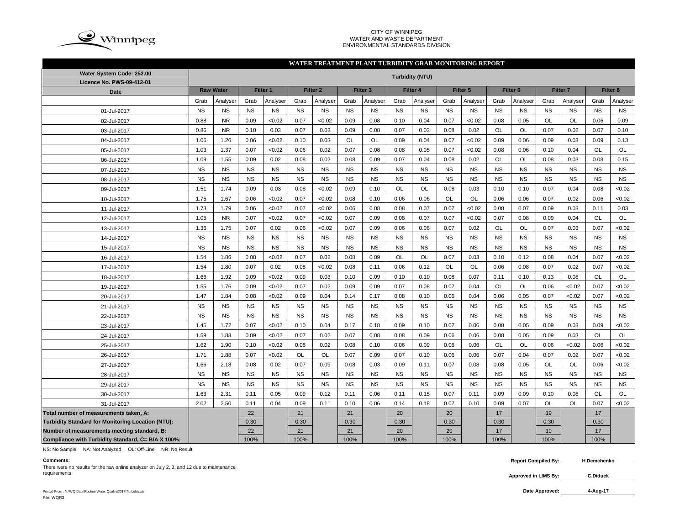

#### CITY OF WINNIPEG WATER AND WASTE DEPARTMENT ENVIRONMENTAL STANDARDS DIVISION

## **WATER TREATMENT PLANT TURBIDITY GRAB MONITORING REPORT**

| Water System Code: 252.00                          | <b>Turbidity (NTU)</b> |                  |           |           |           |                     |           |                     |           |           |           |           |                     |           |           |                     |           |           |
|----------------------------------------------------|------------------------|------------------|-----------|-----------|-----------|---------------------|-----------|---------------------|-----------|-----------|-----------|-----------|---------------------|-----------|-----------|---------------------|-----------|-----------|
| Licence No. PWS-09-412-01                          |                        | <b>Raw Water</b> |           | Filter 1  |           | Filter <sub>2</sub> |           | Filter <sub>3</sub> |           | Filter 4  |           | Filter 5  |                     |           |           | Filter <sub>7</sub> |           |           |
| <b>Date</b>                                        |                        |                  |           |           |           |                     |           |                     |           |           |           |           | Filter <sub>6</sub> |           |           |                     | Filter 8  |           |
|                                                    | Grab                   | Analyser         | Grab      | Analyser  | Grab      | Analyser            | Grab      | Analyser            | Grab      | Analyser  | Grab      | Analyser  | Grab                | Analvser  | Grab      | Analyser            | Grab      | Analyser  |
| 01-Jul-2017                                        | <b>NS</b>              | <b>NS</b>        | <b>NS</b> | <b>NS</b> | <b>NS</b> | <b>NS</b>           | <b>NS</b> | <b>NS</b>           | <b>NS</b> | <b>NS</b> | <b>NS</b> | <b>NS</b> | <b>NS</b>           | <b>NS</b> | <b>NS</b> | <b>NS</b>           | <b>NS</b> | <b>NS</b> |
| 02-Jul-2017                                        | 0.88                   | <b>NR</b>        | 0.09      | < 0.02    | 0.07      | < 0.02              | 0.09      | 0.08                | 0.10      | 0.04      | 0.07      | < 0.02    | 0.08                | 0.05      | <b>OL</b> | <b>OL</b>           | 0.06      | 0.09      |
| 03-Jul-2017                                        | 0.86                   | <b>NR</b>        | 0.10      | 0.03      | 0.07      | 0.02                | 0.09      | 0.08                | 0.07      | 0.03      | 0.08      | 0.02      | OL                  | OL        | 0.07      | 0.02                | 0.07      | 0.10      |
| 04-Jul-2017                                        | 1.06                   | 1.26             | 0.06      | < 0.02    | 0.10      | 0.03                | <b>OL</b> | OL                  | 0.09      | 0.04      | 0.07      | < 0.02    | 0.09                | 0.06      | 0.09      | 0.03                | 0.09      | 0.13      |
| 05-Jul-2017                                        | 1.03                   | 1.37             | 0.07      | <0.02     | 0.06      | 0.02                | 0.07      | 0.08                | 0.08      | 0.05      | 0.07      | < 0.02    | 0.08                | 0.06      | 0.10      | 0.04                | OL        | OL        |
| 06-Jul-2017                                        | 1.09                   | 1.55             | 0.09      | 0.02      | 0.08      | 0.02                | 0.08      | 0.09                | 0.07      | 0.04      | 0.08      | 0.02      | OL                  | OL        | 0.08      | 0.03                | 0.08      | 0.15      |
| 07-Jul-2017                                        | <b>NS</b>              | <b>NS</b>        | <b>NS</b> | <b>NS</b> | <b>NS</b> | <b>NS</b>           | <b>NS</b> | <b>NS</b>           | <b>NS</b> | <b>NS</b> | <b>NS</b> | <b>NS</b> | <b>NS</b>           | <b>NS</b> | <b>NS</b> | <b>NS</b>           | <b>NS</b> | <b>NS</b> |
| 08-Jul-2017                                        | <b>NS</b>              | <b>NS</b>        | <b>NS</b> | <b>NS</b> | <b>NS</b> | <b>NS</b>           | <b>NS</b> | <b>NS</b>           | <b>NS</b> | <b>NS</b> | <b>NS</b> | <b>NS</b> | <b>NS</b>           | <b>NS</b> | <b>NS</b> | <b>NS</b>           | <b>NS</b> | <b>NS</b> |
| 09-Jul-2017                                        | 1.51                   | 1.74             | 0.09      | 0.03      | 0.08      | < 0.02              | 0.09      | 0.10                | <b>OL</b> | <b>OL</b> | 0.08      | 0.03      | 0.10                | 0.10      | 0.07      | 0.04                | 0.08      | <0.02     |
| 10-Jul-2017                                        | 1.75                   | 1.67             | 0.06      | < 0.02    | 0.07      | < 0.02              | 0.08      | 0.10                | 0.06      | 0.06      | <b>OL</b> | OL        | 0.06                | 0.06      | 0.07      | 0.02                | 0.06      | <0.02     |
| 11-Jul-2017                                        | 1.73                   | 1.79             | 0.06      | < 0.02    | 0.07      | <0.02               | 0.06      | 0.08                | 0.08      | 0.07      | 0.07      | < 0.02    | 0.08                | 0.07      | 0.09      | 0.03                | 0.11      | 0.03      |
| 12-Jul-2017                                        | 1.05                   | <b>NR</b>        | 0.07      | < 0.02    | 0.07      | <0.02               | 0.07      | 0.09                | 0.08      | 0.07      | 0.07      | < 0.02    | 0.07                | 0.08      | 0.09      | 0.04                | OL        | OL        |
| 13-Jul-2017                                        | 1.36                   | 1.75             | 0.07      | 0.02      | 0.06      | < 0.02              | 0.07      | 0.09                | 0.06      | 0.06      | 0.07      | 0.02      | OL                  | OL        | 0.07      | 0.03                | 0.07      | <0.02     |
| 14-Jul-2017                                        | <b>NS</b>              | <b>NS</b>        | <b>NS</b> | <b>NS</b> | <b>NS</b> | <b>NS</b>           | <b>NS</b> | <b>NS</b>           | <b>NS</b> | <b>NS</b> | <b>NS</b> | <b>NS</b> | <b>NS</b>           | <b>NS</b> | <b>NS</b> | <b>NS</b>           | <b>NS</b> | <b>NS</b> |
| 15-Jul-2017                                        | <b>NS</b>              | <b>NS</b>        | <b>NS</b> | <b>NS</b> | <b>NS</b> | <b>NS</b>           | <b>NS</b> | <b>NS</b>           | <b>NS</b> | <b>NS</b> | <b>NS</b> | <b>NS</b> | <b>NS</b>           | <b>NS</b> | <b>NS</b> | <b>NS</b>           | <b>NS</b> | <b>NS</b> |
| 16-Jul-2017                                        | 1.54                   | 1.86             | 0.08      | < 0.02    | 0.07      | 0.02                | 0.08      | 0.09                | <b>OL</b> | OL        | 0.07      | 0.03      | 0.10                | 0.12      | 0.08      | 0.04                | 0.07      | <0.02     |
| 17-Jul-2017                                        | 1.54                   | 1.80             | 0.07      | 0.02      | 0.08      | < 0.02              | 0.08      | 0.11                | 0.06      | 0.12      | <b>OL</b> | OL        | 0.06                | 0.08      | 0.07      | 0.02                | 0.07      | <0.02     |
| 18-Jul-2017                                        | 1.66                   | 1.92             | 0.09      | < 0.02    | 0.09      | 0.03                | 0.10      | 0.09                | 0.10      | 0.10      | 0.08      | 0.07      | 0.11                | 0.10      | 0.13      | 0.08                | OL        | OL        |
| 19-Jul-2017                                        | 1.55                   | 1.76             | 0.09      | < 0.02    | 0.07      | 0.02                | 0.09      | 0.09                | 0.07      | 0.08      | 0.07      | 0.04      | <b>OL</b>           | <b>OL</b> | 0.06      | <0.02               | 0.07      | <0.02     |
| 20-Jul-2017                                        | 1.47                   | 1.84             | 0.08      | < 0.02    | 0.09      | 0.04                | 0.14      | 0.17                | 0.08      | 0.10      | 0.06      | 0.04      | 0.06                | 0.05      | 0.07      | <0.02               | 0.07      | <0.02     |
| 21-Jul-2017                                        | <b>NS</b>              | <b>NS</b>        | <b>NS</b> | <b>NS</b> | <b>NS</b> | <b>NS</b>           | <b>NS</b> | <b>NS</b>           | <b>NS</b> | <b>NS</b> | <b>NS</b> | <b>NS</b> | <b>NS</b>           | <b>NS</b> | <b>NS</b> | <b>NS</b>           | <b>NS</b> | <b>NS</b> |
| 22-Jul-2017                                        | <b>NS</b>              | <b>NS</b>        | <b>NS</b> | <b>NS</b> | <b>NS</b> | <b>NS</b>           | <b>NS</b> | <b>NS</b>           | <b>NS</b> | <b>NS</b> | <b>NS</b> | <b>NS</b> | <b>NS</b>           | <b>NS</b> | <b>NS</b> | <b>NS</b>           | <b>NS</b> | <b>NS</b> |
| 23-Jul-2017                                        | 1.45                   | 1.72             | 0.07      | < 0.02    | 0.10      | 0.04                | 0.17      | 0.18                | 0.09      | 0.10      | 0.07      | 0.06      | 0.08                | 0.05      | 0.09      | 0.03                | 0.09      | <0.02     |
| 24-Jul-2017                                        | 1.59                   | 1.88             | 0.09      | < 0.02    | 0.07      | 0.02                | 0.07      | 0.08                | 0.08      | 0.09      | 0.06      | 0.06      | 0.08                | 0.05      | 0.09      | 0.03                | OL        | OL        |
| 25-Jul-2017                                        | 1.62                   | 1.90             | 0.10      | < 0.02    | 0.08      | 0.02                | 0.08      | 0.10                | 0.06      | 0.09      | 0.06      | 0.06      | <b>OL</b>           | <b>OL</b> | 0.06      | <0.02               | 0.06      | <0.02     |
| 26-Jul-2017                                        | 1.71                   | 1.88             | 0.07      | < 0.02    | OL        | <b>OL</b>           | 0.07      | 0.09                | 0.07      | 0.10      | 0.06      | 0.06      | 0.07                | 0.04      | 0.07      | 0.02                | 0.07      | <0.02     |
| 27-Jul-2017                                        | 1.66                   | 2.18             | 0.08      | 0.02      | 0.07      | 0.09                | 0.08      | 0.03                | 0.09      | 0.11      | 0.07      | 0.08      | 0.08                | 0.05      | OL        | <b>OL</b>           | 0.06      | <0.02     |
| 28-Jul-2017                                        | <b>NS</b>              | <b>NS</b>        | <b>NS</b> | <b>NS</b> | <b>NS</b> | <b>NS</b>           | <b>NS</b> | <b>NS</b>           | <b>NS</b> | <b>NS</b> | <b>NS</b> | <b>NS</b> | <b>NS</b>           | <b>NS</b> | <b>NS</b> | <b>NS</b>           | <b>NS</b> | <b>NS</b> |
| 29-Jul-2017                                        | <b>NS</b>              | <b>NS</b>        | <b>NS</b> | <b>NS</b> | <b>NS</b> | <b>NS</b>           | <b>NS</b> | <b>NS</b>           | <b>NS</b> | <b>NS</b> | <b>NS</b> | <b>NS</b> | <b>NS</b>           | <b>NS</b> | <b>NS</b> | <b>NS</b>           | <b>NS</b> | <b>NS</b> |
| 30-Jul-2017                                        | 1.63                   | 2.31             | 0.11      | 0.05      | 0.09      | 0.12                | 0.11      | 0.06                | 0.11      | 0.15      | 0.07      | 0.11      | 0.09                | 0.09      | 0.10      | 0.08                | OL        | <b>OL</b> |
| 31-Jul-2017                                        | 2.02                   | 2.50             | 0.11      | 0.04      | 0.09      | 0.11                | 0.10      | 0.06                | 0.14      | 0.18      | 0.07      | 0.10      | 0.09                | 0.07      | OL        | <b>OL</b>           | 0.07      | <0.02     |
| Total number of measurements taken, A:             |                        |                  | 22        |           | 21        |                     | 21        |                     | 20        |           | 20        |           | 17                  |           | 19        |                     | 17        |           |
| Turbidity Standard for Monitoring Location (NTU):  |                        |                  | 0.30      |           | 0.30      |                     | 0.30      |                     | 0.30      |           | 0.30      |           | 0.30                |           | 0.30      |                     | 0.30      |           |
| Number of measurements meeting standard, B:        |                        |                  | 22        |           | 21        |                     | 21        |                     | 20        |           | 20        |           | 17                  |           | 19        |                     | 17        |           |
| Compliance with Turbidity Standard, C= B/A X 100%: |                        |                  | 100%      |           | 100%      |                     | 100%      |                     | 100%      |           | 100%      |           | 100%                |           | 100%      |                     | 100%      |           |

NS: No Sample NA: Not Analyzed OL: Off-Line NR: No Result

There were no results for the raw online analyzer on July 2, 3, and 12 due to maintenance<br>requirements. requirements. **C.Diduck**

**Comments: Report Compiled By: H.Demchenko**

**Approved in LIMS By:**

Printed From : N:\WQ Data\Routine Water Quality\2017\Turbidity.xls **Date Approved:** File: WQR3

**4-Aug-17**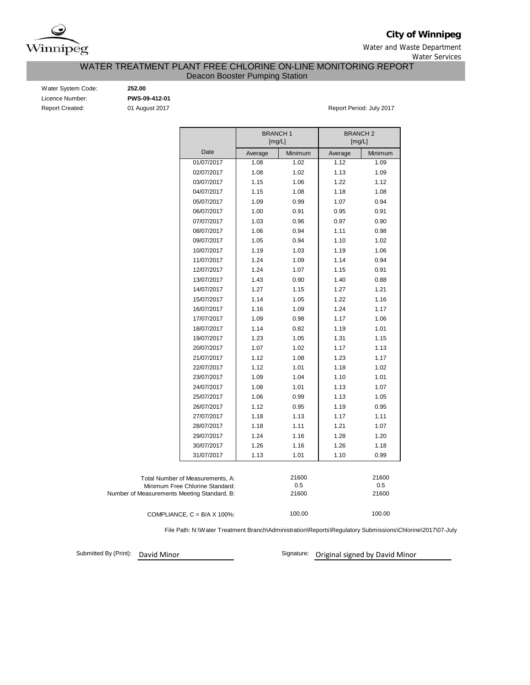

**City of Winnipeg**

Water and Waste Department Water Services

## WATER TREATMENT PLANT FREE CHLORINE ON-LINE MONITORING REPORT Deacon Booster Pumping Station

| Water System Code:     |
|------------------------|
| Licence Number:        |
| <b>Report Created:</b> |

Water System Code: **252.00** Licence Number: **PWS-09-412-01**

01 August 2017 **Report Period: July 2017** 

|                                                                                                                    |                                    | <b>BRANCH1</b><br>[mg/L] |         | <b>BRANCH2</b><br>[mg/L] |         |
|--------------------------------------------------------------------------------------------------------------------|------------------------------------|--------------------------|---------|--------------------------|---------|
|                                                                                                                    | Date                               | Average                  | Minimum | Average                  | Minimum |
|                                                                                                                    | 01/07/2017                         | 1.08                     | 1.02    | 1.12                     | 1.09    |
|                                                                                                                    | 02/07/2017                         | 1.08                     | 1.02    | 1.13                     | 1.09    |
|                                                                                                                    | 03/07/2017                         | 1.15                     | 1.06    | 1.22                     | 1.12    |
|                                                                                                                    | 04/07/2017                         | 1.15                     | 1.08    | 1.18                     | 1.08    |
|                                                                                                                    | 05/07/2017                         | 1.09                     | 0.99    | 1.07                     | 0.94    |
|                                                                                                                    | 06/07/2017                         | 1.00                     | 0.91    | 0.95                     | 0.91    |
|                                                                                                                    | 07/07/2017                         | 1.03                     | 0.96    | 0.97                     | 0.90    |
|                                                                                                                    | 08/07/2017                         | 1.06                     | 0.94    | 1.11                     | 0.98    |
|                                                                                                                    | 09/07/2017                         | 1.05                     | 0.94    | 1.10                     | 1.02    |
|                                                                                                                    | 10/07/2017                         | 1.19                     | 1.03    | 1.19                     | 1.06    |
|                                                                                                                    | 11/07/2017                         | 1.24                     | 1.09    | 1.14                     | 0.94    |
|                                                                                                                    | 12/07/2017                         | 1.24                     | 1.07    | 1.15                     | 0.91    |
|                                                                                                                    | 13/07/2017                         | 1.43                     | 0.90    | 1.40                     | 0.88    |
|                                                                                                                    | 14/07/2017                         | 1.27                     | 1.15    | 1.27                     | 1.21    |
|                                                                                                                    | 15/07/2017                         | 1.14                     | 1.05    | 1.22                     | 1.16    |
|                                                                                                                    | 16/07/2017                         | 1.16                     | 1.09    | 1.24                     | 1.17    |
|                                                                                                                    | 17/07/2017                         | 1.09                     | 0.98    | 1.17                     | 1.06    |
|                                                                                                                    | 18/07/2017                         | 1.14                     | 0.82    | 1.19                     | 1.01    |
|                                                                                                                    | 19/07/2017                         | 1.23                     | 1.05    | 1.31                     | 1.15    |
|                                                                                                                    | 20/07/2017                         | 1.07                     | 1.02    | 1.17                     | 1.13    |
|                                                                                                                    | 21/07/2017                         | 1.12                     | 1.08    | 1.23                     | 1.17    |
|                                                                                                                    | 22/07/2017                         | 1.12                     | 1.01    | 1.18                     | 1.02    |
|                                                                                                                    | 23/07/2017                         | 1.09                     | 1.04    | 1.10                     | 1.01    |
|                                                                                                                    | 24/07/2017                         | 1.08                     | 1.01    | 1.13                     | 1.07    |
|                                                                                                                    | 25/07/2017                         | 1.06                     | 0.99    | 1.13                     | 1.05    |
|                                                                                                                    | 26/07/2017                         | 1.12                     | 0.95    | 1.19                     | 0.95    |
|                                                                                                                    | 27/07/2017                         | 1.18                     | 1.13    | 1.17                     | 1.11    |
|                                                                                                                    | 28/07/2017                         | 1.18                     | 1.11    | 1.21                     | 1.07    |
|                                                                                                                    | 29/07/2017                         | 1.24                     | 1.16    | 1.28                     | 1.20    |
|                                                                                                                    | 30/07/2017                         | 1.26                     | 1.16    | 1.26                     | 1.18    |
|                                                                                                                    | 31/07/2017                         | 1.13                     | 1.01    | 1.10                     | 0.99    |
| Total Number of Measurements, A:<br>Minimum Free Chlorine Standard:<br>Number of Measurements Meeting Standard, B: |                                    | 21600<br>0.5<br>21600    |         | 21600<br>0.5<br>21600    |         |
|                                                                                                                    | COMPLIANCE, $C = B/A \times 100\%$ |                          | 100.00  |                          | 100.00  |

COMPLIANCE,  $C = B/A \times 100\%$ :

File Path: N:\Water Treatment Branch\Administration\Reports\Regulatory Submissions\Chlorine\2017\07-July

Submitted By (Print):

David Minor **David Minor** Signature: **Original signed by David Minor**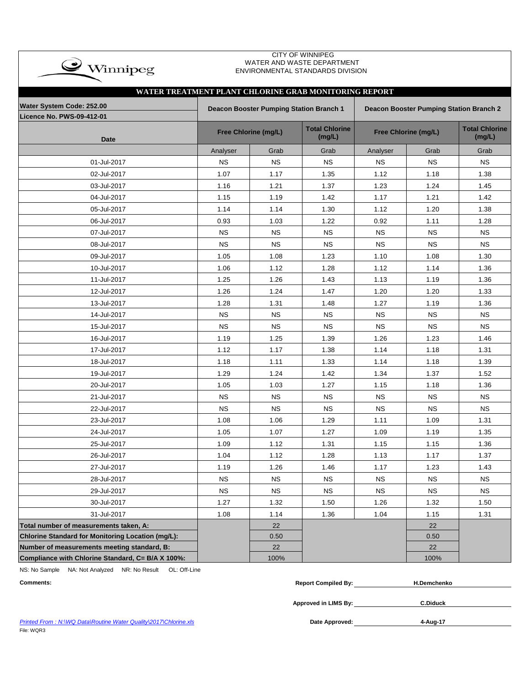| CITY OF WINNIPEG<br>$\rightarrow$ Winnipeg<br>WATER AND WASTE DEPARTMENT<br>ENVIRONMENTAL STANDARDS DIVISION |           |                                         |                                 |           |                                         |                                 |  |  |  |  |  |  |  |  |
|--------------------------------------------------------------------------------------------------------------|-----------|-----------------------------------------|---------------------------------|-----------|-----------------------------------------|---------------------------------|--|--|--|--|--|--|--|--|
| WATER TREATMENT PLANT CHLORINE GRAB MONITORING REPORT                                                        |           |                                         |                                 |           |                                         |                                 |  |  |  |  |  |  |  |  |
| Water System Code: 252.00                                                                                    |           |                                         |                                 |           |                                         |                                 |  |  |  |  |  |  |  |  |
| <b>Licence No. PWS-09-412-01</b>                                                                             |           | Deacon Booster Pumping Station Branch 1 |                                 |           | Deacon Booster Pumping Station Branch 2 |                                 |  |  |  |  |  |  |  |  |
| <b>Date</b>                                                                                                  |           | Free Chlorine (mg/L)                    | <b>Total Chlorine</b><br>(mg/L) |           | Free Chlorine (mg/L)                    | <b>Total Chlorine</b><br>(mg/L) |  |  |  |  |  |  |  |  |
|                                                                                                              | Analyser  | Grab                                    | Grab                            | Analyser  | Grab                                    | Grab                            |  |  |  |  |  |  |  |  |
| 01-Jul-2017                                                                                                  | <b>NS</b> | <b>NS</b>                               | <b>NS</b>                       | <b>NS</b> | <b>NS</b>                               | <b>NS</b>                       |  |  |  |  |  |  |  |  |
| 02-Jul-2017                                                                                                  | 1.07      | 1.17                                    | 1.35                            | 1.12      | 1.18                                    | 1.38                            |  |  |  |  |  |  |  |  |
| 03-Jul-2017                                                                                                  | 1.16      | 1.21                                    | 1.37                            | 1.23      | 1.24                                    | 1.45                            |  |  |  |  |  |  |  |  |
| 04-Jul-2017                                                                                                  | 1.15      | 1.19                                    | 1.42                            | 1.17      | 1.21                                    | 1.42                            |  |  |  |  |  |  |  |  |
| 05-Jul-2017                                                                                                  | 1.14      | 1.14                                    | 1.30                            | 1.12      | 1.20                                    | 1.38                            |  |  |  |  |  |  |  |  |
| 06-Jul-2017                                                                                                  | 0.93      | 1.03                                    | 1.22                            | 0.92      | 1.11                                    | 1.28                            |  |  |  |  |  |  |  |  |
| 07-Jul-2017                                                                                                  | <b>NS</b> | <b>NS</b>                               | <b>NS</b>                       | <b>NS</b> | <b>NS</b>                               | <b>NS</b>                       |  |  |  |  |  |  |  |  |
| 08-Jul-2017                                                                                                  | <b>NS</b> | <b>NS</b>                               | <b>NS</b>                       | <b>NS</b> | <b>NS</b>                               | <b>NS</b>                       |  |  |  |  |  |  |  |  |
| 09-Jul-2017                                                                                                  | 1.05      | 1.08                                    | 1.23                            | 1.10      | 1.08                                    | 1.30                            |  |  |  |  |  |  |  |  |
| 10-Jul-2017                                                                                                  | 1.06      | 1.12                                    | 1.28                            | 1.12      | 1.14                                    | 1.36                            |  |  |  |  |  |  |  |  |
| 11-Jul-2017                                                                                                  | 1.25      | 1.26                                    | 1.43                            | 1.13      | 1.19                                    | 1.36                            |  |  |  |  |  |  |  |  |
| 12-Jul-2017                                                                                                  | 1.26      | 1.24                                    | 1.47                            | 1.20      | 1.20                                    | 1.33                            |  |  |  |  |  |  |  |  |
| 13-Jul-2017                                                                                                  | 1.28      | 1.31                                    | 1.48                            | 1.27      | 1.19                                    | 1.36                            |  |  |  |  |  |  |  |  |
| 14-Jul-2017                                                                                                  | <b>NS</b> | <b>NS</b>                               | <b>NS</b>                       | <b>NS</b> | <b>NS</b>                               | <b>NS</b>                       |  |  |  |  |  |  |  |  |
| 15-Jul-2017                                                                                                  | <b>NS</b> | <b>NS</b>                               | <b>NS</b>                       | <b>NS</b> | <b>NS</b>                               | <b>NS</b>                       |  |  |  |  |  |  |  |  |
| 16-Jul-2017                                                                                                  | 1.19      | 1.25                                    | 1.39                            | 1.26      | 1.23                                    | 1.46                            |  |  |  |  |  |  |  |  |
| 17-Jul-2017                                                                                                  | 1.12      | 1.17                                    | 1.38                            | 1.14      | 1.18                                    | 1.31                            |  |  |  |  |  |  |  |  |
| 18-Jul-2017                                                                                                  | 1.18      | 1.11                                    | 1.33                            | 1.14      | 1.18                                    | 1.39                            |  |  |  |  |  |  |  |  |
| 19-Jul-2017                                                                                                  | 1.29      | 1.24                                    | 1.42                            | 1.34      | 1.37                                    | 1.52                            |  |  |  |  |  |  |  |  |
| 20-Jul-2017                                                                                                  | 1.05      | 1.03                                    | 1.27                            | 1.15      | 1.18                                    | 1.36                            |  |  |  |  |  |  |  |  |
| 21-Jul-2017                                                                                                  | <b>NS</b> | <b>NS</b>                               | <b>NS</b>                       | NS.       | ΝS                                      | <b>NS</b>                       |  |  |  |  |  |  |  |  |
| 22-Jul-2017                                                                                                  | <b>NS</b> | <b>NS</b>                               | <b>NS</b>                       | <b>NS</b> | <b>NS</b>                               | <b>NS</b>                       |  |  |  |  |  |  |  |  |
| 23-Jul-2017                                                                                                  | 1.08      | 1.06                                    | 1.29                            | 1.11      | 1.09                                    | 1.31                            |  |  |  |  |  |  |  |  |
| 24-Jul-2017                                                                                                  | 1.05      | 1.07                                    | 1.27                            | 1.09      | 1.19                                    | 1.35                            |  |  |  |  |  |  |  |  |
| 25-Jul-2017                                                                                                  | 1.09      | 1.12                                    | 1.31                            | 1.15      | 1.15                                    | 1.36                            |  |  |  |  |  |  |  |  |
| 26-Jul-2017                                                                                                  | 1.04      | 1.12                                    | 1.28                            | 1.13      | 1.17                                    | 1.37                            |  |  |  |  |  |  |  |  |
| 27-Jul-2017                                                                                                  | 1.19      | 1.26                                    | 1.46                            | 1.17      | 1.23                                    | 1.43                            |  |  |  |  |  |  |  |  |
| 28-Jul-2017                                                                                                  | <b>NS</b> | <b>NS</b>                               | <b>NS</b>                       | <b>NS</b> | <b>NS</b>                               | <b>NS</b>                       |  |  |  |  |  |  |  |  |
| 29-Jul-2017                                                                                                  | <b>NS</b> | <b>NS</b>                               | <b>NS</b>                       | <b>NS</b> | <b>NS</b>                               | <b>NS</b>                       |  |  |  |  |  |  |  |  |
| 30-Jul-2017                                                                                                  | 1.27      | 1.32                                    | 1.50                            | 1.26      | 1.32                                    | 1.50                            |  |  |  |  |  |  |  |  |
| 31-Jul-2017                                                                                                  | 1.08      | 1.14                                    | 1.36                            | 1.04      | 1.15                                    | 1.31                            |  |  |  |  |  |  |  |  |
| Total number of measurements taken, A:                                                                       |           | 22                                      |                                 |           | 22                                      |                                 |  |  |  |  |  |  |  |  |
| Chlorine Standard for Monitoring Location (mg/L):                                                            |           | 0.50                                    |                                 |           | 0.50                                    |                                 |  |  |  |  |  |  |  |  |
| Number of measurements meeting standard, B:                                                                  |           | 22                                      |                                 |           | 22                                      |                                 |  |  |  |  |  |  |  |  |
| Compliance with Chlorine Standard, C= B/A X 100%:                                                            |           | 100%                                    |                                 |           | 100%                                    |                                 |  |  |  |  |  |  |  |  |

NS: No Sample NA: Not Analyzed NR: No Result OL: Off-Line

| <b>Comments:</b> | <b>Report Compiled By:</b> | H.Demchenko |
|------------------|----------------------------|-------------|
|                  | Approved in LIMS By:       | C.Diduck    |

**Printed From : N:\WQ Data\Routine Water Quality\2017\Chlorine.xls** File: WQR3

**4-Aug-17**